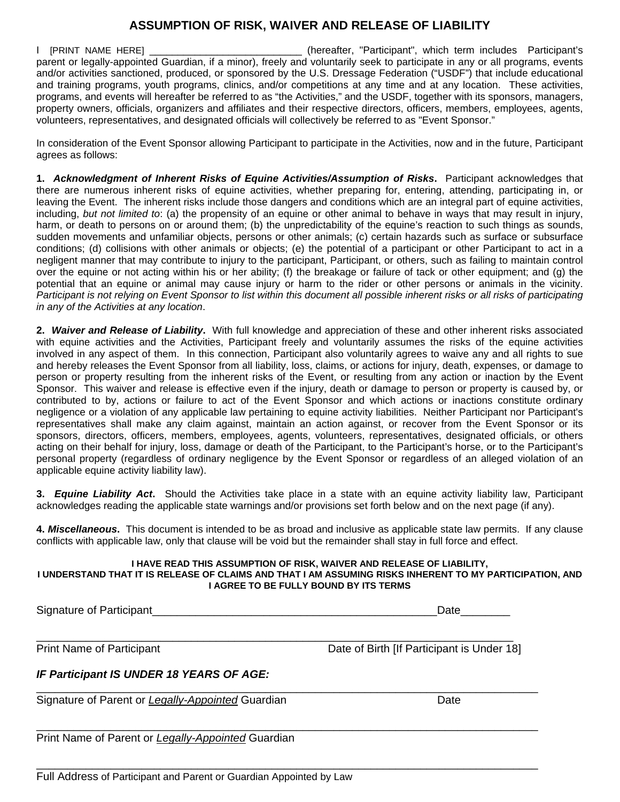## **ASSUMPTION OF RISK, WAIVER AND RELEASE OF LIABILITY**

I [PRINT NAME HERE] \_\_\_\_\_\_\_\_\_\_\_\_\_\_\_\_\_\_\_\_\_\_\_\_\_\_\_ (hereafter, "Participant", which term includes Participant's parent or legally-appointed Guardian, if a minor), freely and voluntarily seek to participate in any or all programs, events and/or activities sanctioned, produced, or sponsored by the U.S. Dressage Federation ("USDF") that include educational and training programs, youth programs, clinics, and/or competitions at any time and at any location. These activities, programs, and events will hereafter be referred to as "the Activities," and the USDF, together with its sponsors, managers, property owners, officials, organizers and affiliates and their respective directors, officers, members, employees, agents, volunteers, representatives, and designated officials will collectively be referred to as "Event Sponsor."

In consideration of the Event Sponsor allowing Participant to participate in the Activities, now and in the future, Participant agrees as follows:

**1.** *Acknowledgment of Inherent Risks of Equine Activities/Assumption of Risks***.** Participant acknowledges that there are numerous inherent risks of equine activities, whether preparing for, entering, attending, participating in, or leaving the Event. The inherent risks include those dangers and conditions which are an integral part of equine activities, including, *but not limited to*: (a) the propensity of an equine or other animal to behave in ways that may result in injury, harm, or death to persons on or around them; (b) the unpredictability of the equine's reaction to such things as sounds, sudden movements and unfamiliar objects, persons or other animals; (c) certain hazards such as surface or subsurface conditions; (d) collisions with other animals or objects; (e) the potential of a participant or other Participant to act in a negligent manner that may contribute to injury to the participant, Participant, or others, such as failing to maintain control over the equine or not acting within his or her ability; (f) the breakage or failure of tack or other equipment; and (g) the potential that an equine or animal may cause injury or harm to the rider or other persons or animals in the vicinity. *Participant is not relying on Event Sponsor to list within this document all possible inherent risks or all risks of participating in any of the Activities at any location*.

**2.** *Waiver and Release of Liability***.** With full knowledge and appreciation of these and other inherent risks associated with equine activities and the Activities, Participant freely and voluntarily assumes the risks of the equine activities involved in any aspect of them. In this connection, Participant also voluntarily agrees to waive any and all rights to sue and hereby releases the Event Sponsor from all liability, loss, claims, or actions for injury, death, expenses, or damage to person or property resulting from the inherent risks of the Event, or resulting from any action or inaction by the Event Sponsor. This waiver and release is effective even if the injury, death or damage to person or property is caused by, or contributed to by, actions or failure to act of the Event Sponsor and which actions or inactions constitute ordinary negligence or a violation of any applicable law pertaining to equine activity liabilities. Neither Participant nor Participant's representatives shall make any claim against, maintain an action against, or recover from the Event Sponsor or its sponsors, directors, officers, members, employees, agents, volunteers, representatives, designated officials, or others acting on their behalf for injury, loss, damage or death of the Participant, to the Participant's horse, or to the Participant's personal property (regardless of ordinary negligence by the Event Sponsor or regardless of an alleged violation of an applicable equine activity liability law).

**3.** *Equine Liability Act***.** Should the Activities take place in a state with an equine activity liability law, Participant acknowledges reading the applicable state warnings and/or provisions set forth below and on the next page (if any).

**4.** *Miscellaneous***.** This document is intended to be as broad and inclusive as applicable state law permits. If any clause conflicts with applicable law, only that clause will be void but the remainder shall stay in full force and effect.

## **I HAVE READ THIS ASSUMPTION OF RISK, WAIVER AND RELEASE OF LIABILITY, I UNDERSTAND THAT IT IS RELEASE OF CLAIMS AND THAT I AM ASSUMING RISKS INHERENT TO MY PARTICIPATION, AND**

## **I AGREE TO BE FULLY BOUND BY ITS TERMS**

Signature of Participant\_\_\_\_\_\_\_\_\_\_\_\_\_\_\_\_\_\_\_\_\_\_\_\_\_\_\_\_\_\_\_\_\_\_\_\_\_\_\_\_\_\_\_\_\_\_Date\_\_\_\_\_\_\_\_ \_\_\_\_\_\_\_\_\_\_\_\_\_\_\_\_\_\_\_\_\_\_\_\_\_\_\_\_\_\_\_\_\_\_\_\_\_\_\_\_\_\_\_\_\_\_\_\_\_\_\_\_\_\_\_\_\_\_\_\_\_\_\_\_\_\_\_\_\_\_\_\_\_\_\_\_\_ Print Name of Participant **Date of Birth [If Participant is Under 18]** *IF Participant IS UNDER 18 YEARS OF AGE:*  \_\_\_\_\_\_\_\_\_\_\_\_\_\_\_\_\_\_\_\_\_\_\_\_\_\_\_\_\_\_\_\_\_\_\_\_\_\_\_\_\_\_\_\_\_\_\_\_\_\_\_\_\_\_\_\_\_\_\_\_\_\_\_\_\_\_\_\_\_\_\_\_\_\_\_\_\_\_\_\_\_ Signature of Parent or *Legally-Appointed* Guardian **Date of Construction of the United State** Date \_\_\_\_\_\_\_\_\_\_\_\_\_\_\_\_\_\_\_\_\_\_\_\_\_\_\_\_\_\_\_\_\_\_\_\_\_\_\_\_\_\_\_\_\_\_\_\_\_\_\_\_\_\_\_\_\_\_\_\_\_\_\_\_\_\_\_\_\_\_\_\_\_\_\_\_\_\_\_\_\_ Print Name of Parent or *Legally-Appointed* Guardian \_\_\_\_\_\_\_\_\_\_\_\_\_\_\_\_\_\_\_\_\_\_\_\_\_\_\_\_\_\_\_\_\_\_\_\_\_\_\_\_\_\_\_\_\_\_\_\_\_\_\_\_\_\_\_\_\_\_\_\_\_\_\_\_\_\_\_\_\_\_\_\_\_\_\_\_\_\_\_\_\_